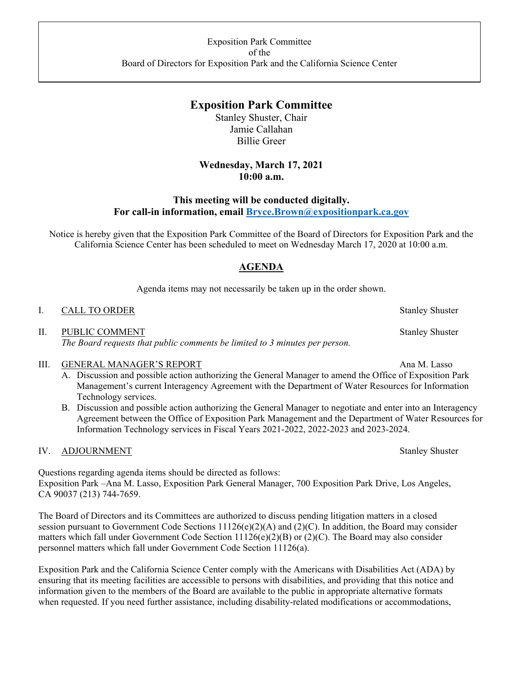# **Exposition Park Committee**

Stanley Shuster, Chair Jamie Callahan Billie Greer

## **Wednesday, March 17, 2021 10:00 a.m.**

## **This meeting will be conducted digitally. For call-in information, email [Bryce.Brown@expositionpark.ca.gov](mailto:Bryce.Brown@expositionpark.ca.gov)**

Notice is hereby given that the Exposition Park Committee of the Board of Directors for Exposition Park and the California Science Center has been scheduled to meet on Wednesday March 17, 2020 at 10:00 a.m.

## **AGENDA**

Agenda items may not necessarily be taken up in the order shown.

#### I. CALL TO ORDER Stanley Shuster

II. PUBLIC COMMENT Stanley Shuster *The Board requests that public comments be limited to 3 minutes per person.*

## III. GENERAL MANAGER'S REPORT Ana M. Lasso

- A. Discussion and possible action authorizing the General Manager to amend the Office of Exposition Park Management's current Interagency Agreement with the Department of Water Resources for Information Technology services.
- B. Discussion and possible action authorizing the General Manager to negotiate and enter into an Interagency Agreement between the Office of Exposition Park Management and the Department of Water Resources for Information Technology services in Fiscal Years 2021-2022, 2022-2023 and 2023-2024.

## IV. ADJOURNMENT Stanley Shuster

Questions regarding agenda items should be directed as follows: Exposition Park –Ana M. Lasso, Exposition Park General Manager, 700 Exposition Park Drive, Los Angeles, CA 90037 (213) 744-7659.

The Board of Directors and its Committees are authorized to discuss pending litigation matters in a closed session pursuant to Government Code Sections  $11126(e)(2)(A)$  and  $(2)(C)$ . In addition, the Board may consider matters which fall under Government Code Section  $11126(e)(2)(B)$  or  $(2)(C)$ . The Board may also consider personnel matters which fall under Government Code Section 11126(a).

Exposition Park and the California Science Center comply with the Americans with Disabilities Act (ADA) by ensuring that its meeting facilities are accessible to persons with disabilities, and providing that this notice and information given to the members of the Board are available to the public in appropriate alternative formats when requested. If you need further assistance, including disability-related modifications or accommodations,